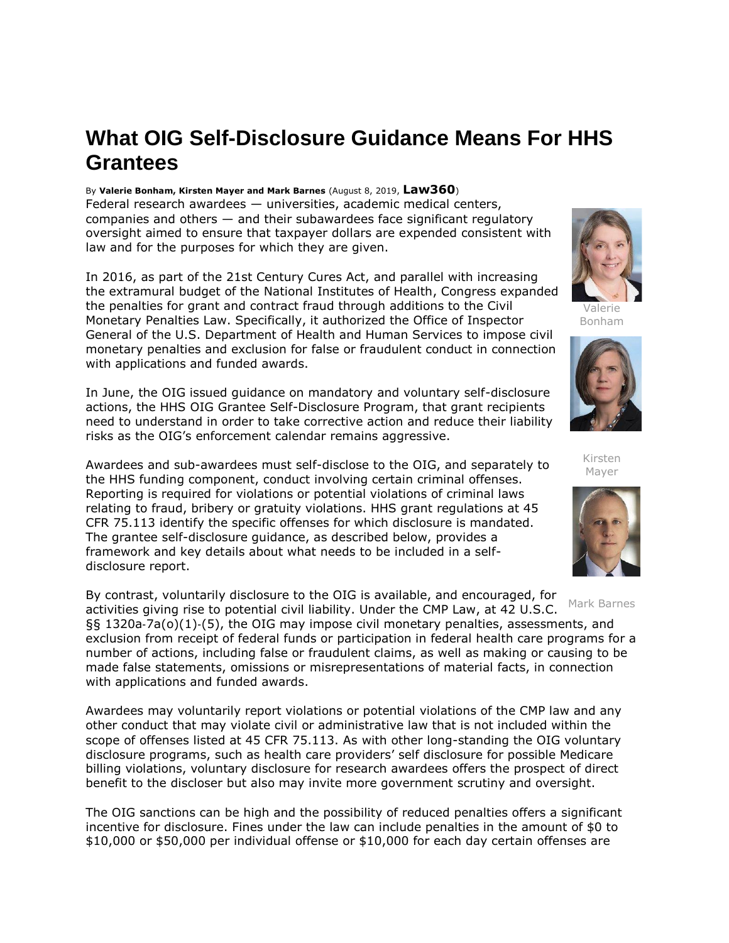## **What OIG Self-Disclosure Guidance Means For HHS Grantees**

By **Valerie Bonham, Kirsten Mayer and Mark Barnes** (August 8, 2019, **Law360**) Federal research awardees — universities, academic medical centers, companies and others — and their subawardees face significant regulatory oversight aimed to ensure that taxpayer dollars are expended consistent with law and for the purposes for which they are given.

In 2016, as part of the 21st Century Cures Act, and parallel with increasing the extramural budget of the [National Institutes of Health,](https://www.law360.com/agencies/national-institutes-of-health) Congress expanded the penalties for grant and contract fraud through additions to the Civil Monetary Penalties Law. Specifically, it authorized the Office of Inspector General of the [U.S. Department of Health and Human Services](https://www.law360.com/agencies/u-s-department-of-health-and-human-services) to impose civil monetary penalties and exclusion for false or fraudulent conduct in connection with applications and funded awards.

In June, the OIG issued guidance on mandatory and voluntary self-disclosure actions, the HHS OIG Grantee Self-Disclosure Program, that grant recipients need to understand in order to take corrective action and reduce their liability risks as the OIG's enforcement calendar remains aggressive.

Awardees and sub-awardees must self-disclose to the OIG, and separately to the HHS funding component, conduct involving certain criminal offenses. Reporting is required for violations or potential violations of criminal laws relating to fraud, bribery or gratuity violations. HHS grant regulations at 45 CFR 75.113 identify the specific offenses for which disclosure is mandated. The grantee self-disclosure guidance, as described below, provides a framework and key details about what needs to be included in a selfdisclosure report.

By contrast, voluntarily disclosure to the OIG is available, and encouraged, for activities giving rise to potential civil liability. Under the CMP Law, at 42 U.S.C. §§ 1320a‐7a(o)(1)‐(5), the OIG may impose civil monetary penalties, assessments, and exclusion from receipt of federal funds or participation in federal health care programs for a number of actions, including false or fraudulent claims, as well as making or causing to be made false statements, omissions or misrepresentations of material facts, in connection with applications and funded awards. Mark Barnes

Awardees may voluntarily report violations or potential violations of the CMP law and any other conduct that may violate civil or administrative law that is not included within the scope of offenses listed at 45 CFR 75.113. As with other long-standing the OIG voluntary disclosure programs, such as health care providers' self disclosure for possible Medicare billing violations, voluntary disclosure for research awardees offers the prospect of direct benefit to the discloser but also may invite more government scrutiny and oversight.

The OIG sanctions can be high and the possibility of reduced penalties offers a significant incentive for disclosure. Fines under the law can include penalties in the amount of \$0 to \$10,000 or \$50,000 per individual offense or \$10,000 for each day certain offenses are



Valerie Bonham



Kirsten Mayer

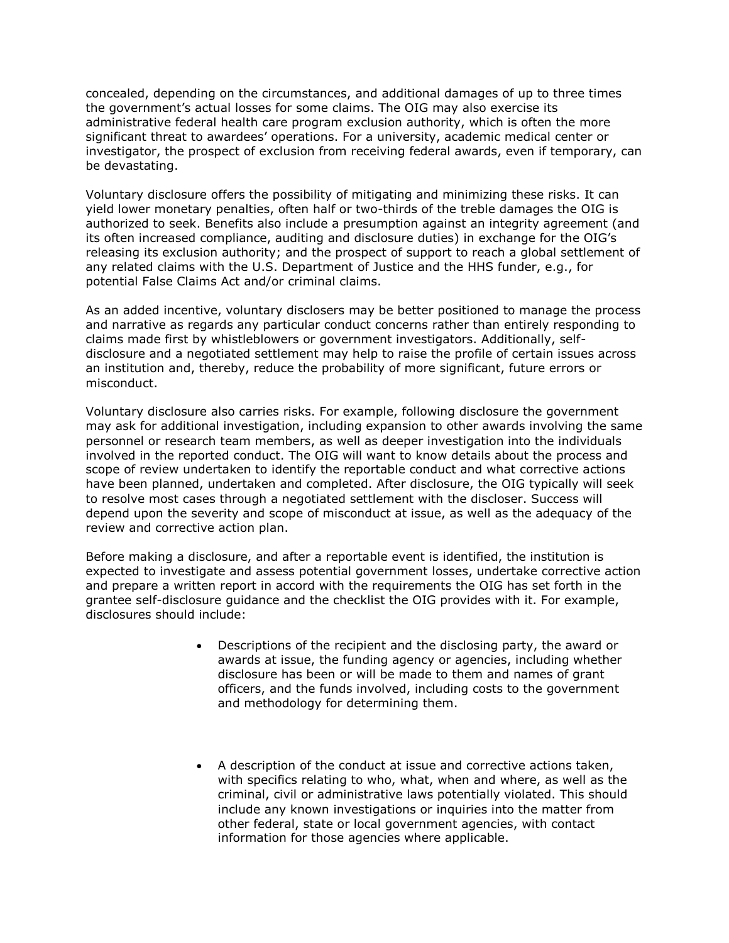concealed, depending on the circumstances, and additional damages of up to three times the government's actual losses for some claims. The OIG may also exercise its administrative federal health care program exclusion authority, which is often the more significant threat to awardees' operations. For a university, academic medical center or investigator, the prospect of exclusion from receiving federal awards, even if temporary, can be devastating.

Voluntary disclosure offers the possibility of mitigating and minimizing these risks. It can yield lower monetary penalties, often half or two-thirds of the treble damages the OIG is authorized to seek. Benefits also include a presumption against an integrity agreement (and its often increased compliance, auditing and disclosure duties) in exchange for the OIG's releasing its exclusion authority; and the prospect of support to reach a global settlement of any related claims with the [U.S. Department of Justice](https://www.law360.com/agencies/u-s-department-of-justice) and the HHS funder, e.g., for potential False Claims Act and/or criminal claims.

As an added incentive, voluntary disclosers may be better positioned to manage the process and narrative as regards any particular conduct concerns rather than entirely responding to claims made first by whistleblowers or government investigators. Additionally, selfdisclosure and a negotiated settlement may help to raise the profile of certain issues across an institution and, thereby, reduce the probability of more significant, future errors or misconduct.

Voluntary disclosure also carries risks. For example, following disclosure the government may ask for additional investigation, including expansion to other awards involving the same personnel or research team members, as well as deeper investigation into the individuals involved in the reported conduct. The OIG will want to know details about the process and scope of review undertaken to identify the reportable conduct and what corrective actions have been planned, undertaken and completed. After disclosure, the OIG typically will seek to resolve most cases through a negotiated settlement with the discloser. Success will depend upon the severity and scope of misconduct at issue, as well as the adequacy of the review and corrective action plan.

Before making a disclosure, and after a reportable event is identified, the institution is expected to investigate and assess potential government losses, undertake corrective action and prepare a written report in accord with the requirements the OIG has set forth in the grantee self-disclosure guidance and the checklist the OIG provides with it. For example, disclosures should include:

- Descriptions of the recipient and the disclosing party, the award or awards at issue, the funding agency or agencies, including whether disclosure has been or will be made to them and names of grant officers, and the funds involved, including costs to the government and methodology for determining them.
- A description of the conduct at issue and corrective actions taken, with specifics relating to who, what, when and where, as well as the criminal, civil or administrative laws potentially violated. This should include any known investigations or inquiries into the matter from other federal, state or local government agencies, with contact information for those agencies where applicable.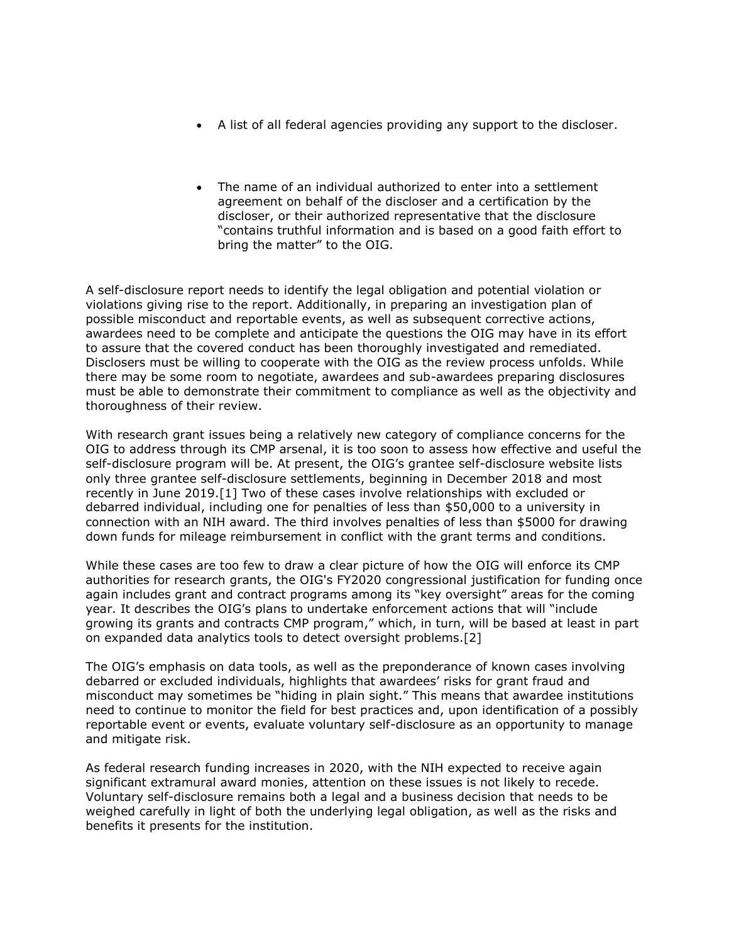- A list of all federal agencies providing any support to the discloser.
- The name of an individual authorized to enter into a settlement agreement on behalf of the discloser and a certification by the discloser, or their authorized representative that the disclosure "contains truthful information and is based on a good faith effort to bring the matter" to the OIG.

A self-disclosure report needs to identify the legal obligation and potential violation or violations giving rise to the report. Additionally, in preparing an investigation plan of possible misconduct and reportable events, as well as subsequent corrective actions, awardees need to be complete and anticipate the questions the OIG may have in its effort to assure that the covered conduct has been thoroughly investigated and remediated. Disclosers must be willing to cooperate with the OIG as the review process unfolds. While there may be some room to negotiate, awardees and sub-awardees preparing disclosures must be able to demonstrate their commitment to compliance as well as the objectivity and thoroughness of their review.

With research grant issues being a relatively new category of compliance concerns for the OIG to address through its CMP arsenal, it is too soon to assess how effective and useful the self-disclosure program will be. At present, the OIG's grantee self-disclosure website lists only three grantee self-disclosure settlements, beginning in December 2018 and most recently in June 2019.[1] Two of these cases involve relationships with excluded or debarred individual, including one for penalties of less than \$50,000 to a university in connection with an NIH award. The third involves penalties of less than \$5000 for drawing down funds for mileage reimbursement in conflict with the grant terms and conditions.

While these cases are too few to draw a clear picture of how the OIG will enforce its CMP authorities for research grants, the OIG's FY2020 congressional justification for funding once again includes grant and contract programs among its "key oversight" areas for the coming year. It describes the OIG's plans to undertake enforcement actions that will "include growing its grants and contracts CMP program," which, in turn, will be based at least in part on expanded data analytics tools to detect oversight problems.[2]

The OIG's emphasis on data tools, as well as the preponderance of known cases involving debarred or excluded individuals, highlights that awardees' risks for grant fraud and misconduct may sometimes be "hiding in plain sight." This means that awardee institutions need to continue to monitor the field for best practices and, upon identification of a possibly reportable event or events, evaluate voluntary self-disclosure as an opportunity to manage and mitigate risk.

As federal research funding increases in 2020, with the NIH expected to receive again significant extramural award monies, attention on these issues is not likely to recede. Voluntary self-disclosure remains both a legal and a business decision that needs to be weighed carefully in light of both the underlying legal obligation, as well as the risks and benefits it presents for the institution.